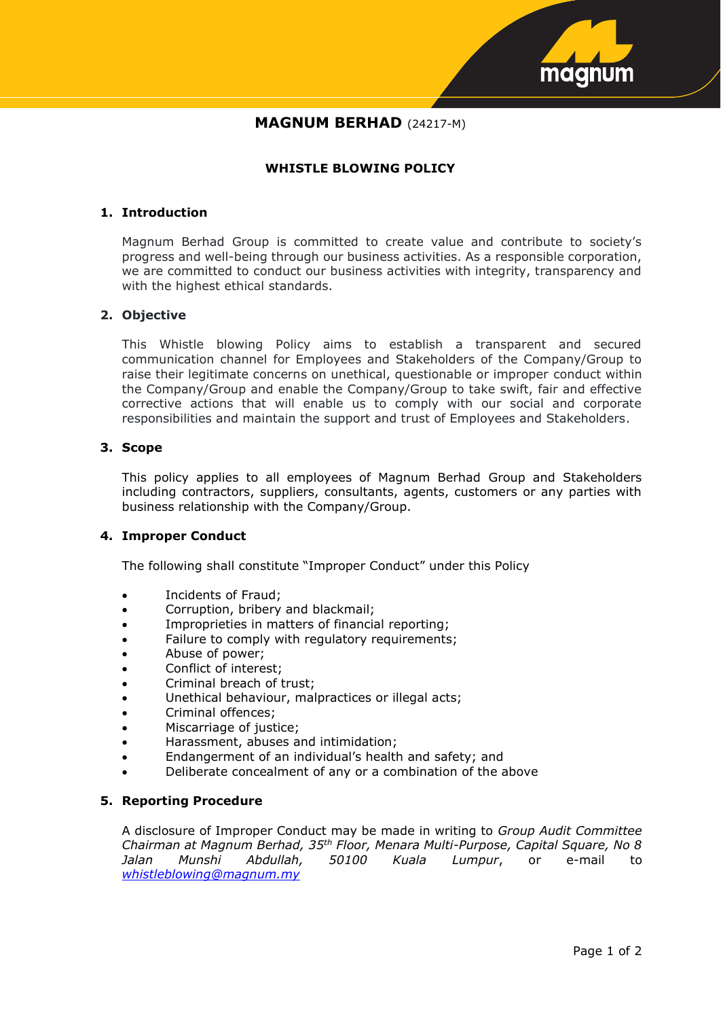

# **MAGNUM BERHAD** (24217-M)

# **WHISTLE BLOWING POLICY**

## **1. Introduction**

Magnum Berhad Group is committed to create value and contribute to society's progress and well-being through our business activities. As a responsible corporation, we are committed to conduct our business activities with integrity, transparency and with the highest ethical standards.

## **2. Objective**

This Whistle blowing Policy aims to establish a transparent and secured communication channel for Employees and Stakeholders of the Company/Group to raise their legitimate concerns on unethical, questionable or improper conduct within the Company/Group and enable the Company/Group to take swift, fair and effective corrective actions that will enable us to comply with our social and corporate responsibilities and maintain the support and trust of Employees and Stakeholders.

# **3. Scope**

This policy applies to all employees of Magnum Berhad Group and Stakeholders including contractors, suppliers, consultants, agents, customers or any parties with business relationship with the Company/Group.

# **4. Improper Conduct**

The following shall constitute "Improper Conduct" under this Policy

- Incidents of Fraud;
- Corruption, bribery and blackmail;
- Improprieties in matters of financial reporting;
- Failure to comply with regulatory requirements;
- Abuse of power;
- Conflict of interest;
- Criminal breach of trust;
- Unethical behaviour, malpractices or illegal acts;
- Criminal offences;
- Miscarriage of justice;
- Harassment, abuses and intimidation;
- Endangerment of an individual's health and safety; and
- Deliberate concealment of any or a combination of the above

#### **5. Reporting Procedure**

A disclosure of Improper Conduct may be made in writing to *Group Audit Committee Chairman at Magnum Berhad, 35th Floor, Menara Multi-Purpose, Capital Square, No 8 Jalan Munshi Abdullah, 50100 Kuala Lumpur*, or e-mail to *[whistleblowing@magnum.my](mailto:whistleblowing@magnum.my)*